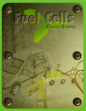